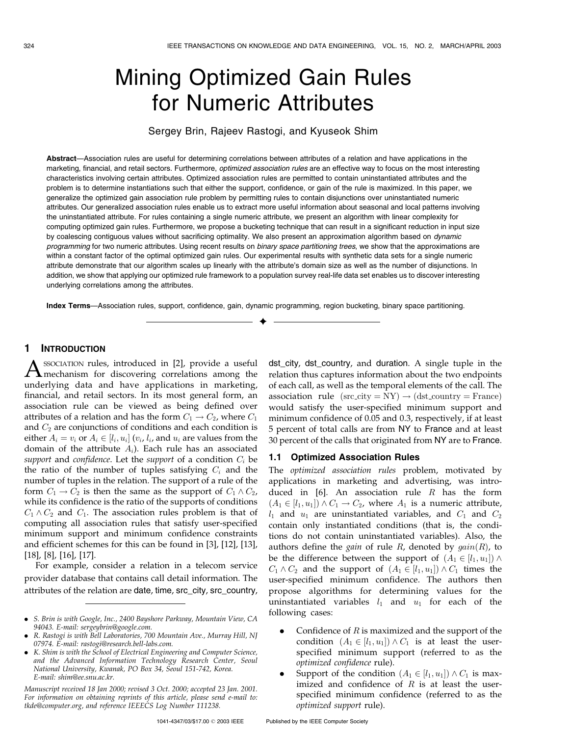# Mining Optimized Gain Rules for Numeric Attributes

Sergey Brin, Rajeev Rastogi, and Kyuseok Shim

Abstract—Association rules are useful for determining correlations between attributes of a relation and have applications in the marketing, financial, and retail sectors. Furthermore, *optimized association rules* are an effective way to focus on the most interesting characteristics involving certain attributes. Optimized association rules are permitted to contain uninstantiated attributes and the problem is to determine instantiations such that either the support, confidence, or gain of the rule is maximized. In this paper, we generalize the optimized gain association rule problem by permitting rules to contain disjunctions over uninstantiated numeric attributes. Our generalized association rules enable us to extract more useful information about seasonal and local patterns involving the uninstantiated attribute. For rules containing a single numeric attribute, we present an algorithm with linear complexity for computing optimized gain rules. Furthermore, we propose a bucketing technique that can result in a significant reduction in input size by coalescing contiguous values without sacrificing optimality. We also present an approximation algorithm based on dynamic programming for two numeric attributes. Using recent results on binary space partitioning trees, we show that the approximations are within a constant factor of the optimal optimized gain rules. Our experimental results with synthetic data sets for a single numeric attribute demonstrate that our algorithm scales up linearly with the attribute's domain size as well as the number of disjunctions. In addition, we show that applying our optimized rule framework to a population survey real-life data set enables us to discover interesting underlying correlations among the attributes.

Index Terms—Association rules, support, confidence, gain, dynamic programming, region bucketing, binary space partitioning.

æ

## 1 INTRODUCTION

A SSOCIATION rules, introduced in [2], provide a useful<br>mechanism for discovering correlations among the underlying data and have applications in marketing, financial, and retail sectors. In its most general form, an association rule can be viewed as being defined over attributes of a relation and has the form  $C_1 \rightarrow C_2$ , where  $C_1$ and  $C_2$  are conjunctions of conditions and each condition is either  $A_i = v_i$  or  $A_i \in [l_i, u_i]$  ( $v_i, l_i$ , and  $u_i$  are values from the domain of the attribute  $A_i$ ). Each rule has an associated support and confidence. Let the support of a condition  $C_i$  be the ratio of the number of tuples satisfying  $C_i$  and the number of tuples in the relation. The support of a rule of the form  $C_1 \rightarrow C_2$  is then the same as the support of  $C_1 \wedge C_2$ , while its confidence is the ratio of the supports of conditions  $C_1 \wedge C_2$  and  $C_1$ . The association rules problem is that of computing all association rules that satisfy user-specified minimum support and minimum confidence constraints and efficient schemes for this can be found in [3], [12], [13], [18], [8], [16], [17].

For example, consider a relation in a telecom service provider database that contains call detail information. The attributes of the relation are date, time, src\_city, src\_country,

dst\_city, dst\_country, and duration. A single tuple in the relation thus captures information about the two endpoints of each call, as well as the temporal elements of the call. The association rule  $(src\_city = NY) \rightarrow (dst\_country = France)$ would satisfy the user-specified minimum support and minimum confidence of 0.05 and 0.3, respectively, if at least 5 percent of total calls are from NY to France and at least 30 percent of the calls that originated from NY are to France.

#### 1.1 Optimized Association Rules

The optimized association rules problem, motivated by applications in marketing and advertising, was introduced in [6]. An association rule  $R$  has the form  $(A_1 \in [l_1, u_1]) \wedge C_1 \rightarrow C_2$ , where  $A_1$  is a numeric attribute,  $l_1$  and  $u_1$  are uninstantiated variables, and  $C_1$  and  $C_2$ contain only instantiated conditions (that is, the conditions do not contain uninstantiated variables). Also, the authors define the gain of rule  $R$ , denoted by  $gain(R)$ , to be the difference between the support of  $(A_1 \in [l_1, u_1]) \wedge$  $C_1 \wedge C_2$  and the support of  $(A_1 \in [l_1, u_1]) \wedge C_1$  times the user-specified minimum confidence. The authors then propose algorithms for determining values for the uninstantiated variables  $l_1$  and  $u_1$  for each of the following cases:

- Confidence of  $R$  is maximized and the support of the condition  $(A_1 \in [l_1, u_1]) \wedge C_1$  is at least the userspecified minimum support (referred to as the optimized confidence rule).
- Support of the condition  $(A_1 \in [l_1, u_1]) \wedge C_1$  is maximized and confidence of  $R$  is at least the userspecified minimum confidence (referred to as the optimized support rule).

<sup>.</sup> S. Brin is with Google, Inc., 2400 Bayshore Parkway, Mountain View, CA 94043. E-mail: sergeybrin@google.com.

<sup>.</sup> R. Rastogi is with Bell Laboratories, 700 Mountain Ave., Murray Hill, NJ 07974. E-mail: rastogi@research.bell-labs.com.

<sup>.</sup> K. Shim is with the School of Electrical Engineering and Computer Science, and the Advanced Information Technology Research Center, Seoul National University, Kwanak, PO Box 34, Seoul 151-742, Korea. E-mail: shim@ee.snu.ac.kr.

Manuscript received 18 Jan 2000; revised 3 Oct. 2000; accepted 23 Jan. 2001. For information on obtaining reprints of this article, please send e-mail to: tkde@computer.org, and reference IEEECS Log Number 111238.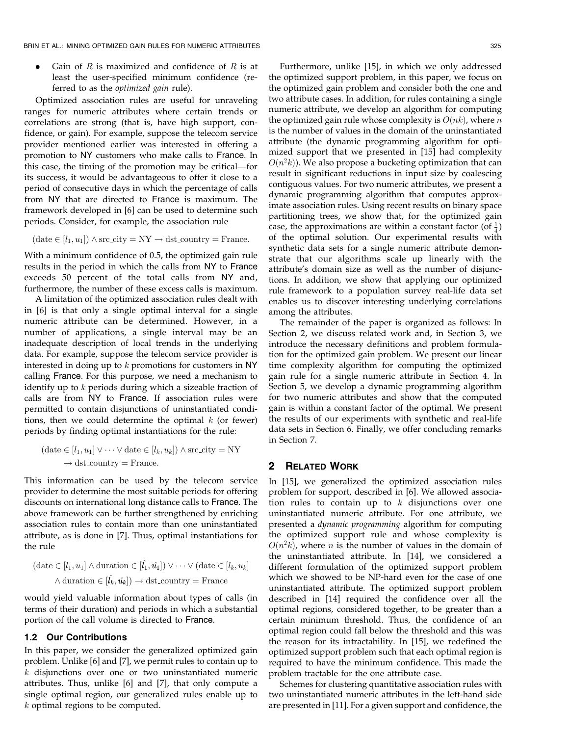Gain of R is maximized and confidence of R is at least the user-specified minimum confidence (referred to as the optimized gain rule).

Optimized association rules are useful for unraveling ranges for numeric attributes where certain trends or correlations are strong (that is, have high support, confidence, or gain). For example, suppose the telecom service provider mentioned earlier was interested in offering a promotion to NY customers who make calls to France. In this case, the timing of the promotion may be critical—for its success, it would be advantageous to offer it close to a period of consecutive days in which the percentage of calls from NY that are directed to France is maximum. The framework developed in [6] can be used to determine such periods. Consider, for example, the association rule

$$
(date \in [l_1, u_1]) \land src\_city = NY \rightarrow dst\_country = France.
$$

With a minimum confidence of 0.5, the optimized gain rule results in the period in which the calls from NY to France exceeds 50 percent of the total calls from NY and, furthermore, the number of these excess calls is maximum.

A limitation of the optimized association rules dealt with in [6] is that only a single optimal interval for a single numeric attribute can be determined. However, in a number of applications, a single interval may be an inadequate description of local trends in the underlying data. For example, suppose the telecom service provider is interested in doing up to  $k$  promotions for customers in NY calling France. For this purpose, we need a mechanism to identify up to  $k$  periods during which a sizeable fraction of calls are from NY to France. If association rules were permitted to contain disjunctions of uninstantiated conditions, then we could determine the optimal  $k$  (or fewer) periods by finding optimal instantiations for the rule:

$$
(\text{date} \in [l_1, u_1] \vee \cdots \vee \text{date} \in [l_k, u_k]) \wedge \text{src\_city} = \text{NY}
$$

$$
\rightarrow \text{dst\_country} = \text{France}.
$$

This information can be used by the telecom service provider to determine the most suitable periods for offering discounts on international long distance calls to France. The above framework can be further strengthened by enriching association rules to contain more than one uninstantiated attribute, as is done in [7]. Thus, optimal instantiations for the rule

$$
(\text{date} \in [l_1, u_1] \land \text{duration} \in [\hat{l}_1, \hat{u}_1]) \lor \dots \lor (\text{date} \in [l_k, u_k])
$$

$$
\land \text{duration} \in [\hat{l}_k, \hat{u}_k]) \rightarrow \text{dst\_country} = \text{France}
$$

would yield valuable information about types of calls (in terms of their duration) and periods in which a substantial portion of the call volume is directed to France.

#### 1.2 Our Contributions

In this paper, we consider the generalized optimized gain problem. Unlike [6] and [7], we permit rules to contain up to  $k$  disjunctions over one or two uninstantiated numeric attributes. Thus, unlike [6] and [7], that only compute a single optimal region, our generalized rules enable up to k optimal regions to be computed.

Furthermore, unlike [15], in which we only addressed the optimized support problem, in this paper, we focus on the optimized gain problem and consider both the one and two attribute cases. In addition, for rules containing a single numeric attribute, we develop an algorithm for computing the optimized gain rule whose complexity is  $O(nk)$ , where n is the number of values in the domain of the uninstantiated attribute (the dynamic programming algorithm for optimized support that we presented in [15] had complexity  $O(n^2k)$ ). We also propose a bucketing optimization that can result in significant reductions in input size by coalescing contiguous values. For two numeric attributes, we present a dynamic programming algorithm that computes approximate association rules. Using recent results on binary space partitioning trees, we show that, for the optimized gain case, the approximations are within a constant factor (of  $\frac{1}{4}$ ) of the optimal solution. Our experimental results with synthetic data sets for a single numeric attribute demonstrate that our algorithms scale up linearly with the attribute's domain size as well as the number of disjunctions. In addition, we show that applying our optimized rule framework to a population survey real-life data set enables us to discover interesting underlying correlations among the attributes.

The remainder of the paper is organized as follows: In Section 2, we discuss related work and, in Section 3, we introduce the necessary definitions and problem formulation for the optimized gain problem. We present our linear time complexity algorithm for computing the optimized gain rule for a single numeric attribute in Section 4. In Section 5, we develop a dynamic programming algorithm for two numeric attributes and show that the computed gain is within a constant factor of the optimal. We present the results of our experiments with synthetic and real-life data sets in Section 6. Finally, we offer concluding remarks in Section 7.

### 2 RELATED WORK

In [15], we generalized the optimized association rules problem for support, described in [6]. We allowed association rules to contain up to  $k$  disjunctions over one uninstantiated numeric attribute. For one attribute, we presented a dynamic programming algorithm for computing the optimized support rule and whose complexity is  $O(n^2k)$ , where *n* is the number of values in the domain of the uninstantiated attribute. In [14], we considered a different formulation of the optimized support problem which we showed to be NP-hard even for the case of one uninstantiated attribute. The optimized support problem described in [14] required the confidence over all the optimal regions, considered together, to be greater than a certain minimum threshold. Thus, the confidence of an optimal region could fall below the threshold and this was the reason for its intractability. In [15], we redefined the optimized support problem such that each optimal region is required to have the minimum confidence. This made the problem tractable for the one attribute case.

Schemes for clustering quantitative association rules with two uninstantiated numeric attributes in the left-hand side are presented in [11]. For a given support and confidence, the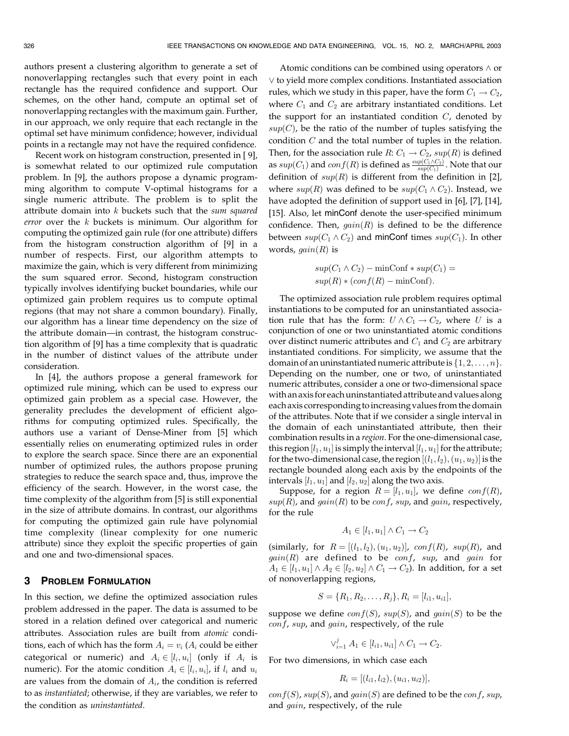authors present a clustering algorithm to generate a set of nonoverlapping rectangles such that every point in each rectangle has the required confidence and support. Our schemes, on the other hand, compute an optimal set of nonoverlapping rectangles with the maximum gain. Further, in our approach, we only require that each rectangle in the optimal set have minimum confidence; however, individual points in a rectangle may not have the required confidence.

Recent work on histogram construction, presented in [ 9], is somewhat related to our optimized rule computation problem. In [9], the authors propose a dynamic programming algorithm to compute V-optimal histograms for a single numeric attribute. The problem is to split the attribute domain into  $k$  buckets such that the sum squared error over the  $k$  buckets is minimum. Our algorithm for computing the optimized gain rule (for one attribute) differs from the histogram construction algorithm of [9] in a number of respects. First, our algorithm attempts to maximize the gain, which is very different from minimizing the sum squared error. Second, histogram construction typically involves identifying bucket boundaries, while our optimized gain problem requires us to compute optimal regions (that may not share a common boundary). Finally, our algorithm has a linear time dependency on the size of the attribute domain—in contrast, the histogram construction algorithm of [9] has a time complexity that is quadratic in the number of distinct values of the attribute under consideration.

In [4], the authors propose a general framework for optimized rule mining, which can be used to express our optimized gain problem as a special case. However, the generality precludes the development of efficient algorithms for computing optimized rules. Specifically, the authors use a variant of Dense-Miner from [5] which essentially relies on enumerating optimized rules in order to explore the search space. Since there are an exponential number of optimized rules, the authors propose pruning strategies to reduce the search space and, thus, improve the efficiency of the search. However, in the worst case, the time complexity of the algorithm from [5] is still exponential in the size of attribute domains. In contrast, our algorithms for computing the optimized gain rule have polynomial time complexity (linear complexity for one numeric attribute) since they exploit the specific properties of gain and one and two-dimensional spaces.

## 3 PROBLEM FORMULATION

In this section, we define the optimized association rules problem addressed in the paper. The data is assumed to be stored in a relation defined over categorical and numeric attributes. Association rules are built from atomic conditions, each of which has the form  $A_i = v_i$  ( $A_i$  could be either categorical or numeric) and  $A_i \in [l_i, u_i]$  (only if  $A_i$  is numeric). For the atomic condition  $A_i \in [l_i, u_i]$ , if  $l_i$  and  $u_i$ are values from the domain of  $A_i$ , the condition is referred to as instantiated; otherwise, if they are variables, we refer to the condition as uninstantiated.

Atomic conditions can be combined using operators  $\wedge$  or  $\vee$  to yield more complex conditions. Instantiated association rules, which we study in this paper, have the form  $C_1 \rightarrow C_2$ , where  $C_1$  and  $C_2$  are arbitrary instantiated conditions. Let the support for an instantiated condition  $C_t$ , denoted by  $sup(C)$ , be the ratio of the number of tuples satisfying the condition C and the total number of tuples in the relation. Then, for the association rule  $R: C_1 \rightarrow C_2$ ,  $sup(R)$  is defined as  $sup(C_1)$  and  $conf(R)$  is defined as  $\frac{sup(C_1\wedge C_2)}{sup(C_1)}$ . Note that our definition of  $sup(R)$  is different from the definition in [2], where  $sup(R)$  was defined to be  $sup(C_1 \wedge C_2)$ . Instead, we have adopted the definition of support used in [6], [7], [14], [15]. Also, let minConf denote the user-specified minimum confidence. Then,  $gain(R)$  is defined to be the difference between  $sup(C_1 \wedge C_2)$  and minConf times  $sup(C_1)$ . In other words,  $gain(R)$  is

$$
sup(C_1 \wedge C_2) - minConf * sup(C_1) =
$$
  

$$
sup(R) * (conf(R) - minConf).
$$

The optimized association rule problem requires optimal instantiations to be computed for an uninstantiated association rule that has the form:  $U \wedge C_1 \rightarrow C_2$ , where U is a conjunction of one or two uninstantiated atomic conditions over distinct numeric attributes and  $C_1$  and  $C_2$  are arbitrary instantiated conditions. For simplicity, we assume that the domain of an uninstantiated numeric attribute is  $\{1, 2, \ldots, n\}$ . Depending on the number, one or two, of uninstantiated numeric attributes, consider a one or two-dimensional space with an axis for each uninstantiated attribute and values along each axis corresponding to increasing values from the domain of the attributes. Note that if we consider a single interval in the domain of each uninstantiated attribute, then their combination results in a region. For the one-dimensional case, this region  $[l_1, u_1]$  is simply the interval  $[l_1, u_1]$  for the attribute; for the two-dimensional case, the region  $[(l_1, l_2), (u_1, u_2)]$  is the rectangle bounded along each axis by the endpoints of the intervals  $[l_1, u_1]$  and  $[l_2, u_2]$  along the two axis.

Suppose, for a region  $R = [l_1, u_1]$ , we define  $conf(R)$ ,  $sup(R)$ , and  $gain(R)$  to be conf, sup, and gain, respectively, for the rule

$$
A_1 \in [l_1, u_1] \wedge C_1 \rightarrow C_2
$$

(similarly, for  $R = [(l_1, l_2), (u_1, u_2)]$ ,  $conf(R)$ ,  $sup(R)$ , and  $gain(R)$  are defined to be conf, sup, and gain for  $A_1 \in [l_1, u_1] \wedge A_2 \in [l_2, u_2] \wedge C_1 \rightarrow C_2$ ). In addition, for a set of nonoverlapping regions,

$$
S = \{R_1, R_2, \ldots, R_j\}, R_i = [l_{i1}, u_{i1}],
$$

suppose we define  $conf(S)$ ,  $sup(S)$ , and  $gain(S)$  to be the conf, sup, and gain, respectively, of the rule

$$
\vee_{i=1}^{j} A_1 \in [l_{i1}, u_{i1}] \wedge C_1 \to C_2.
$$

For two dimensions, in which case each

$$
R_i = [(l_{i1}, l_{i2}), (u_{i1}, u_{i2})],
$$

 $conf(S), sup(S)$ , and  $gain(S)$  are defined to be the *conf*, sup, and gain, respectively, of the rule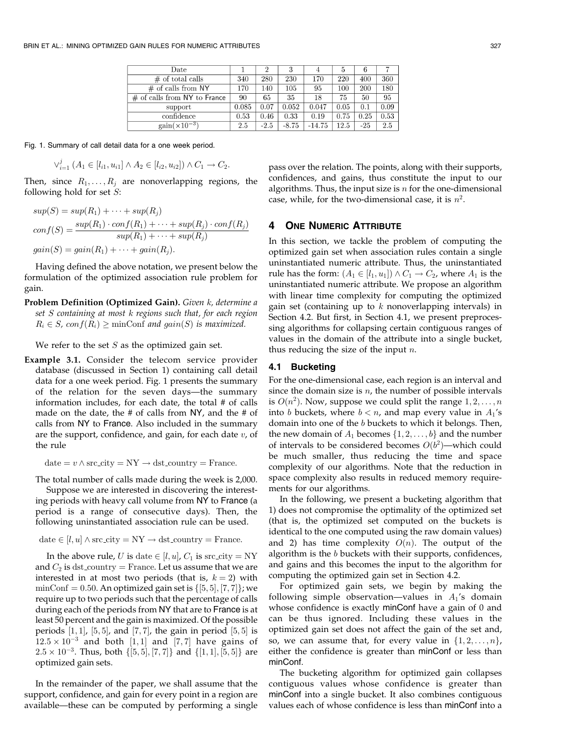| Date                            |         | 2      | 3       |          | 5       |       |      |
|---------------------------------|---------|--------|---------|----------|---------|-------|------|
| $#$ of total calls              | 340     | 280    | 230     | 170      | 220     | 400   | 360  |
| $\#$ of calls from NY           | 170     | 140    | $105\,$ | 95       | $100\,$ | 200   | 180  |
| $\#$ of calls from NY to France | 90      | 65     | 35      | 18       | 75      | 50    | 95   |
| support                         | 0.085   | 0.07   | 0.052   | 0.047    | 0.05    | 0.1   | 0.09 |
| confidence                      | 0.53    | 0.46   | 0.33    | 0.19     | 0.75    | 0.25  | 0.53 |
| $\arcsin(\sqrt{10^{-3}})$       | $2.5\,$ | $-2.5$ | $-8.75$ | $-14.75$ | 12.5    | $-25$ | 2.5  |

Fig. 1. Summary of call detail data for a one week period.

$$
\vee_{i=1}^{j} (A_1 \in [l_{i1}, u_{i1}] \wedge A_2 \in [l_{i2}, u_{i2}]) \wedge C_1 \to C_2.
$$

Then, since  $R_1, \ldots, R_j$  are nonoverlapping regions, the following hold for set  $S$ :

$$
sup(S) = sup(R_1) + \cdots + sup(R_j)
$$
  
\n
$$
conf(S) = \frac{sup(R_1) \cdot conf(R_1) + \cdots + sup(R_j) \cdot conf(R_j)}{sup(R_1) + \cdots + sup(R_j)}
$$
  
\n
$$
gain(S) = gain(R_1) + \cdots + gain(R_j).
$$

Having defined the above notation, we present below the formulation of the optimized association rule problem for gain.

Problem Definition (Optimized Gain). Given k, determine a set S containing at most k regions such that, for each region  $R_i \in S$ , con  $f(R_i) \ge \text{minConf}$  and gain $(S)$  is maximized.

We refer to the set  $S$  as the optimized gain set.

Example 3.1. Consider the telecom service provider database (discussed in Section 1) containing call detail data for a one week period. Fig. 1 presents the summary of the relation for the seven days—the summary information includes, for each date, the total # of calls made on the date, the # of calls from NY, and the # of calls from NY to France. Also included in the summary are the support, confidence, and gain, for each date  $v$ , of the rule

 $date = v \wedge src\_city = NY \rightarrow dst\_country = France.$ 

The total number of calls made during the week is 2,000.

Suppose we are interested in discovering the interesting periods with heavy call volume from NY to France (a period is a range of consecutive days). Then, the following uninstantiated association rule can be used.

$$
date \in [l, u] \land src\_city = NY \rightarrow dst\_country = France.
$$

In the above rule, U is date  $\in$  [l, u],  $C_1$  is src\_city = NY and  $C_2$  is dst\_country = France. Let us assume that we are interested in at most two periods (that is,  $k = 2$ ) with  $\text{minConf} = 0.50$ . An optimized gain set is  $\{[5,5], [7,7]\}$ ; we require up to two periods such that the percentage of calls during each of the periods from NY that are to France is at least 50 percent and the gain is maximized. Of the possible periods  $[1, 1]$ ,  $[5, 5]$ , and  $[7, 7]$ , the gain in period  $[5, 5]$  is  $12.5 \times 10^{-3}$  and both [1,1] and [7,7] have gains of  $2.5 \times 10^{-3}$ . Thus, both  $\{[5,5], [7,7]\}$  and  $\{[1,1], [5,5]\}$  are optimized gain sets.

In the remainder of the paper, we shall assume that the support, confidence, and gain for every point in a region are available—these can be computed by performing a single pass over the relation. The points, along with their supports, confidences, and gains, thus constitute the input to our algorithms. Thus, the input size is  $n$  for the one-dimensional case, while, for the two-dimensional case, it is  $n^2$ .

## 4 ONE NUMERIC ATTRIBUTE

In this section, we tackle the problem of computing the optimized gain set when association rules contain a single uninstantiated numeric attribute. Thus, the uninstantiated rule has the form:  $(A_1 \in [l_1, u_1]) \wedge C_1 \rightarrow C_2$ , where  $A_1$  is the uninstantiated numeric attribute. We propose an algorithm with linear time complexity for computing the optimized gain set (containing up to  $k$  nonoverlapping intervals) in Section 4.2. But first, in Section 4.1, we present preprocessing algorithms for collapsing certain contiguous ranges of values in the domain of the attribute into a single bucket, thus reducing the size of the input  $n$ .

#### 4.1 Bucketing

For the one-dimensional case, each region is an interval and since the domain size is  $n$ , the number of possible intervals is  $O(n^2)$ . Now, suppose we could split the range  $1, 2, \ldots, n$ into *b* buckets, where  $b < n$ , and map every value in  $A_1$ 's domain into one of the  $b$  buckets to which it belongs. Then, the new domain of  $A_1$  becomes  $\{1, 2, \ldots, b\}$  and the number of intervals to be considered becomes  $O(b^2)$ —which could be much smaller, thus reducing the time and space complexity of our algorithms. Note that the reduction in space complexity also results in reduced memory requirements for our algorithms.

In the following, we present a bucketing algorithm that 1) does not compromise the optimality of the optimized set (that is, the optimized set computed on the buckets is identical to the one computed using the raw domain values) and 2) has time complexity  $O(n)$ . The output of the algorithm is the b buckets with their supports, confidences, and gains and this becomes the input to the algorithm for computing the optimized gain set in Section 4.2.

For optimized gain sets, we begin by making the following simple observation—values in  $A_1$ 's domain whose confidence is exactly minConf have a gain of 0 and can be thus ignored. Including these values in the optimized gain set does not affect the gain of the set and, so, we can assume that, for every value in  $\{1, 2, \ldots, n\}$ , either the confidence is greater than minConf or less than minConf.

The bucketing algorithm for optimized gain collapses contiguous values whose confidence is greater than minConf into a single bucket. It also combines contiguous values each of whose confidence is less than minConf into a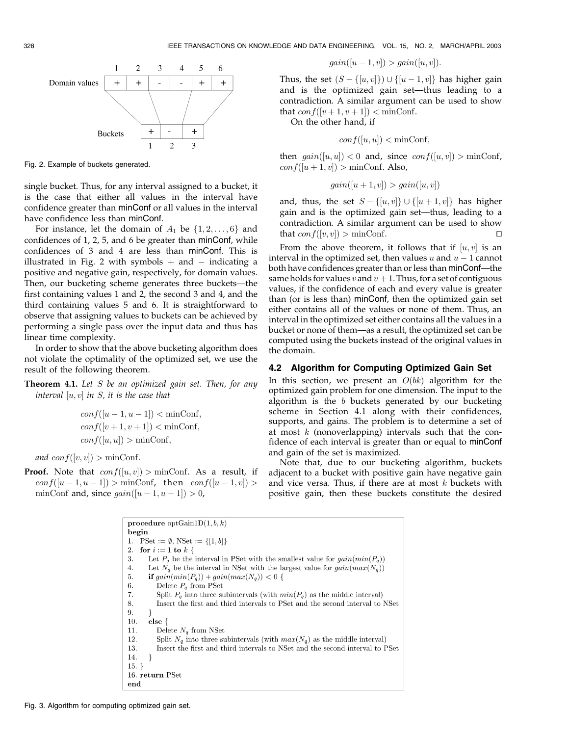

Fig. 2. Example of buckets generated.

single bucket. Thus, for any interval assigned to a bucket, it is the case that either all values in the interval have confidence greater than minConf or all values in the interval have confidence less than minConf.

For instance, let the domain of  $A_1$  be  $\{1, 2, \ldots, 6\}$  and confidences of 1, 2, 5, and 6 be greater than minConf, while confidences of 3 and 4 are less than minConf. This is illustrated in Fig. 2 with symbols  $+$  and  $-$  indicating a positive and negative gain, respectively, for domain values. Then, our bucketing scheme generates three buckets—the first containing values 1 and 2, the second 3 and 4, and the third containing values 5 and 6. It is straightforward to observe that assigning values to buckets can be achieved by performing a single pass over the input data and thus has linear time complexity.

In order to show that the above bucketing algorithm does not violate the optimality of the optimized set, we use the result of the following theorem.

**Theorem 4.1.** Let  $S$  be an optimized gain set. Then, for any interval  $[u, v]$  in S, it is the case that

$$
conf([u-1, u-1]) < \minConf,
$$
  
conf([v+1, v+1]) < \minConf,  

$$
conf([u, u]) > \minConf,
$$

and  $conf([v, v]) > minConf$ .

**Proof.** Note that  $conf([u, v]) > minConf$ . As a result, if  $conf([u-1, u-1]) > minConf,$  then  $conf([u-1, v]) >$ minConf and, since  $gain([u - 1, u - 1]) > 0$ ,

$$
gain([u-1,v]) > gain([u,v]).
$$

Thus, the set  $(S - \{ [u, v] \}) \cup \{ [u - 1, v] \}$  has higher gain and is the optimized gain set—thus leading to a contradiction. A similar argument can be used to show that  $conf([v+1, v+1]) < minConf$ .

On the other hand, if

$$
conf([u, u]) < \minConf,
$$

then  $gain([u, u]) < 0$  and, since  $conf([u, v]) > minConf$ ,  $conf([u+1, v]) > minConf$ . Also,

$$
gain([u+1,v]) > gain([u,v])
$$

and, thus, the set  $S - \{ [u, v] \} \cup \{ [u + 1, v] \}$  has higher gain and is the optimized gain set—thus, leading to a contradiction. A similar argument can be used to show that  $conf([v, v]) > minConf.$ 

From the above theorem, it follows that if  $[u, v]$  is an interval in the optimized set, then values u and  $u - 1$  cannot both have confidences greater than or less than minConf—the same holds for values v and  $v + 1$ . Thus, for a set of contiguous values, if the confidence of each and every value is greater than (or is less than) minConf, then the optimized gain set either contains all of the values or none of them. Thus, an interval in the optimized set either contains all the values in a bucket or none of them—as a result, the optimized set can be computed using the buckets instead of the original values in the domain.

#### 4.2 Algorithm for Computing Optimized Gain Set

In this section, we present an  $O(bk)$  algorithm for the optimized gain problem for one dimension. The input to the algorithm is the  $b$  buckets generated by our bucketing scheme in Section 4.1 along with their confidences, supports, and gains. The problem is to determine a set of at most  $k$  (nonoverlapping) intervals such that the confidence of each interval is greater than or equal to minConf and gain of the set is maximized.

Note that, due to our bucketing algorithm, buckets adjacent to a bucket with positive gain have negative gain and vice versa. Thus, if there are at most  $k$  buckets with positive gain, then these buckets constitute the desired

| <b>procedure</b> $optGain1D(1, b, k)$                                                 |
|---------------------------------------------------------------------------------------|
| begin                                                                                 |
| $\text{PSet} := \emptyset$ , $\text{NSet} := \{ [1, b] \}$<br>1.                      |
| for $i := 1$ to $k \nmid$<br>2.                                                       |
| Let $P_a$ be the interval in PSet with the smallest value for $gain(min(P_a))$<br>3.  |
| 4.<br>Let $N_q$ be the interval in NSet with the largest value for $gain(max(N_q))$   |
| if $gain(min(P_a)) + gain(max(N_a)) < 0$ {<br>5.                                      |
| 6.<br>Delete $P_a$ from PSet                                                          |
| 7.<br>Split $P_q$ into three subintervals (with $min(P_q)$ ) as the middle interval)  |
| Insert the first and third intervals to PSet and the second interval to NSet<br>8.    |
| 9.<br>ł                                                                               |
| 10.<br>else                                                                           |
| 11.<br>Delete $N_a$ from NSet                                                         |
| 12.<br>Split $N_q$ into three subintervals (with $max(N_q)$ ) as the middle interval) |
| Insert the first and third intervals to NSet and the second interval to PSet<br>13.   |
| 14.<br>- 1                                                                            |
| $15. \}$                                                                              |
| 16. return PSet                                                                       |
| end                                                                                   |
|                                                                                       |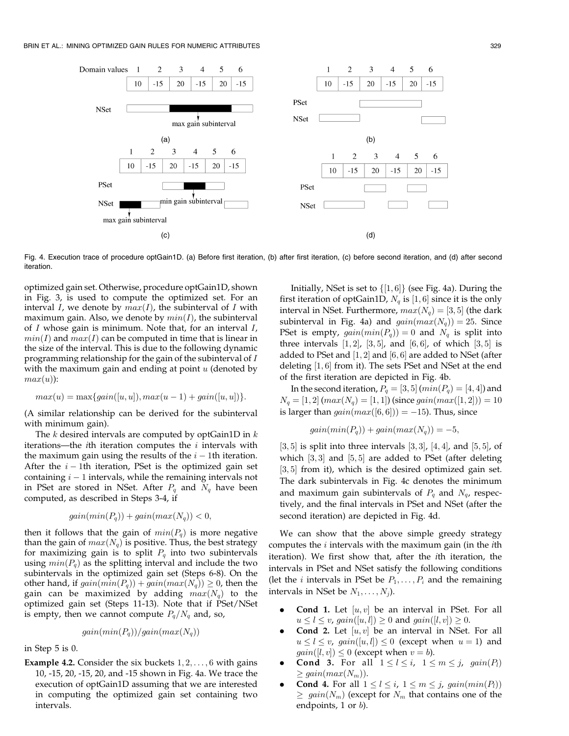#### BRIN ET AL.: MINING OPTIMIZED GAIN RULES FOR NUMERIC ATTRIBUTES **SALES AND A SET ALL AN A SET ALL**: MINING OPTIMIZED GAIN RULES FOR NUMERIC ATTRIBUTES



Fig. 4. Execution trace of procedure optGain1D. (a) Before first iteration, (b) after first iteration, (c) before second iteration, and (d) after second iteration.

optimized gain set. Otherwise, procedure optGain1D, shown in Fig. 3, is used to compute the optimized set. For an interval *I*, we denote by  $max(I)$ , the subinterval of *I* with maximum gain. Also, we denote by  $min(I)$ , the subinterval of I whose gain is minimum. Note that, for an interval I,  $min(I)$  and  $max(I)$  can be computed in time that is linear in the size of the interval. This is due to the following dynamic programming relationship for the gain of the subinterval of I with the maximum gain and ending at point  $u$  (denoted by  $max(u)$ :

$$
max(u) = max\{gain([u, u]), max(u - 1) + gain([u, u])\}.
$$

(A similar relationship can be derived for the subinterval with minimum gain).

The  $k$  desired intervals are computed by optGain1D in  $k$ iterations—the *i*th iteration computes the  $i$  intervals with the maximum gain using the results of the  $i - 1$ th iteration. After the  $i - 1$ th iteration, PSet is the optimized gain set containing  $i - 1$  intervals, while the remaining intervals not in PSet are stored in NSet. After  $P_q$  and  $N_q$  have been computed, as described in Steps 3-4, if

$$
gain(min(P_q)) + gain(max(N_q)) < 0,
$$

then it follows that the gain of  $min(P_q)$  is more negative than the gain of  $max(N_q)$  is positive. Thus, the best strategy for maximizing gain is to split  $P_q$  into two subintervals using  $min(P_q)$  as the splitting interval and include the two subintervals in the optimized gain set (Steps 6-8). On the other hand, if  $gain(min(P_q)) + gain(max(N_q)) \geq 0$ , then the gain can be maximized by adding  $max(N_q)$  to the optimized gain set (Steps 11-13). Note that if PSet/NSet is empty, then we cannot compute  $P_q/N_q$  and, so,

$$
gain(min(P_q))/gain(max(N_q))
$$

in Step 5 is 0.

**Example 4.2.** Consider the six buckets  $1, 2, \ldots, 6$  with gains 10, -15, 20, -15, 20, and -15 shown in Fig. 4a. We trace the execution of optGain1D assuming that we are interested in computing the optimized gain set containing two intervals.

Initially, NSet is set to  $\{1, 6\}$  (see Fig. 4a). During the first iteration of optGain1D,  $N_q$  is  $[1,6]$  since it is the only interval in NSet. Furthermore,  $max(N_q) = [3, 5]$  (the dark subinterval in Fig. 4a) and  $gain(max(N_q)) = 25$ . Since PSet is empty,  $gain(min(P_q)) = 0$  and  $N_q$  is split into three intervals  $[1, 2]$ ,  $[3, 5]$ , and  $[6, 6]$ , of which  $[3, 5]$  is added to PSet and  $[1, 2]$  and  $[6, 6]$  are added to NSet (after deleting  $[1, 6]$  from it). The sets PSet and NSet at the end of the first iteration are depicted in Fig. 4b.

In the second iteration,  $P_q = [3, 5] (min(P_q) = [4, 4])$  and  $N_q = [1, 2]$   $(max(N_q) = [1, 1])$  (since  $gain(max([1, 2])) = 10$ is larger than  $gain(max([6,6])) = -15$ ). Thus, since

$$
gain(min(P_q)) + gain(max(N_q)) = -5,
$$

 $[3,5]$  is split into three intervals  $[3,3]$ ,  $[4,4]$ , and  $[5,5]$ , of which  $[3,3]$  and  $[5,5]$  are added to PSet (after deleting  $[3,5]$  from it), which is the desired optimized gain set. The dark subintervals in Fig. 4c denotes the minimum and maximum gain subintervals of  $P_q$  and  $N_q$ , respectively, and the final intervals in PSet and NSet (after the second iteration) are depicted in Fig. 4d.

We can show that the above simple greedy strategy computes the  $i$  intervals with the maximum gain (in the  $i$ th iteration). We first show that, after the ith iteration, the intervals in PSet and NSet satisfy the following conditions (let the *i* intervals in PSet be  $P_1, \ldots, P_i$  and the remaining intervals in NSet be  $N_1, \ldots, N_j$ .

- **Cond 1.** Let  $[u, v]$  be an interval in PSet. For all  $u \leq l \leq v$ , gain $([u, l]) \geq 0$  and gain $([l, v]) \geq 0$ .
- **Cond 2.** Let  $[u, v]$  be an interval in NSet. For all  $u \leq l \leq v$ ,  $gain([u, l]) \leq 0$  (except when  $u = 1$ ) and  $gain([l, v]) \leq 0$  (except when  $v = b$ ).
- **Cond 3.** For all  $1 \leq l \leq i$ ,  $1 \leq m \leq j$ ,  $gain(P_l)$  $\geq gain(max(N_m)).$
- **Cond 4.** For all  $1 \leq l \leq i$ ,  $1 \leq m \leq j$ ,  $gain(min(P_l))$  $\geq$  gain( $N_m$ ) (except for  $N_m$  that contains one of the endpoints, 1 or b).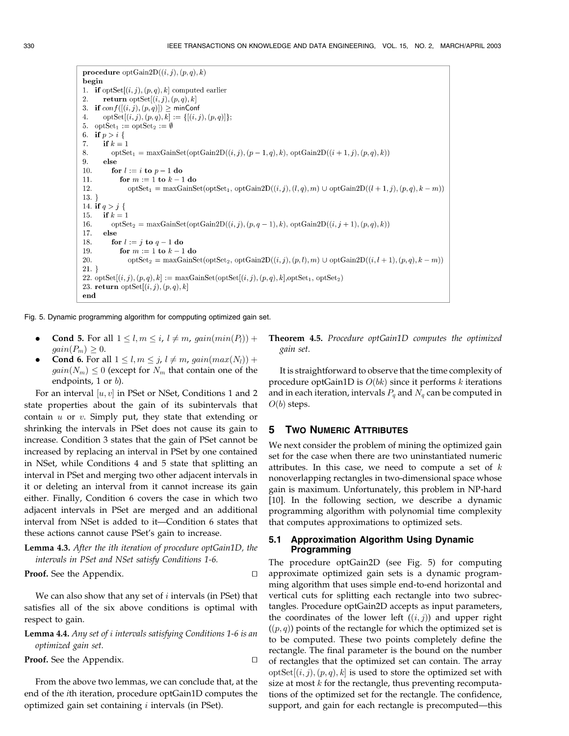$\textbf{procedure } \text{optGain2D}((i, j), (p, q), k)$  $begin{bmatrix} b & b \\ c & d \end{bmatrix}$ 1. if optSet[ $(i, j), (p, q), k$ ] computed earlier  $\mathfrak{D}$ . **return** optSet[ $(i, j), (p, q), k$ ] 3. if  $conf([(i,j),(p,q)]) \geq minConf$  $\mathrm{optSet}[(i,j),(p,q),k]:=\{[(i,j),(p,q)]\};$ 4. 5. optSet<sub>1</sub> := optSet<sub>2</sub> :=  $\emptyset$ 6. if  $p > i \{$ 7. if  $k=1$ 8.  $optSet_1 = maxGainSet(optGain2D((i, j), (p - 1, q), k), optGain2D((i + 1, j), (p, q), k))$ 9. else 10. for  $l := i$  to  $p - 1$  do  $11.$ for  $m := 1$  to  $k - 1$  do  $optSet_1 = maxGainSet(optSet_1, optGain2D((i, j), (l, q), m) \cup optGain2D((l + 1, j), (p, q), k - m))$ 12.  $13. \}$ 14. if  $q > j$  { 15. if  $k=1$ 16.  $optSet_2 = maxGainSet(optGain2D((i, j), (p, q - 1), k), optGain2D((i, j + 1), (p, q), k))$ 17. else 18. for  $l := j$  to  $q - 1$  do 19. for  $m := 1$  to  $k - 1$  do  $optSet_2 = maxGainSet(optSet_2, optGain2D((i, j), (p, l), m) \cup optGain2D((i, l + 1), (p, q), k - m))$ 20.  $21.$ 22. optSet $[(i, j), (p, q), k] := \max$ GainSet $(\text{optSet}[(i, j), (p, q), k]$ ,optSet<sub>1</sub>, optSet<sub>2</sub>) 23. return opt $Set[(i,j),(p,q),k]$ end

Fig. 5. Dynamic programming algorithm for compputing optimized gain set.

- **Cond 5.** For all  $1 \leq l, m \leq i, l \neq m$ ,  $gain(min(P_l))$  +  $gain(P_m) \geq 0.$
- **Cond 6.** For all  $1 \leq l, m \leq j, l \neq m$ , gain $(max(N_l))$  +  $gain(N_m) \leq 0$  (except for  $N_m$  that contain one of the endpoints, 1 or *b*).

For an interval  $[u, v]$  in PSet or NSet, Conditions 1 and 2 state properties about the gain of its subintervals that contain  $u$  or  $v$ . Simply put, they state that extending or shrinking the intervals in PSet does not cause its gain to increase. Condition 3 states that the gain of PSet cannot be increased by replacing an interval in PSet by one contained in NSet, while Conditions 4 and 5 state that splitting an interval in PSet and merging two other adjacent intervals in it or deleting an interval from it cannot increase its gain either. Finally, Condition 6 covers the case in which two adjacent intervals in PSet are merged and an additional interval from NSet is added to it—Condition 6 states that these actions cannot cause PSet's gain to increase.

Lemma 4.3. After the ith iteration of procedure optGain1D, the intervals in PSet and NSet satisfy Conditions 1-6.

Proof. See the Appendix. tu

We can also show that any set of  $i$  intervals (in PSet) that satisfies all of the six above conditions is optimal with respect to gain.

Lemma 4.4. Any set of i intervals satisfying Conditions 1-6 is an optimized gain set.

**Proof.** See the Appendix.  $\Box$ 

From the above two lemmas, we can conclude that, at the end of the ith iteration, procedure optGain1D computes the optimized gain set containing  $i$  intervals (in PSet).

**Theorem 4.5.** Procedure optGain1D computes the optimized gain set.

It is straightforward to observe that the time complexity of procedure optGain1D is  $O(bk)$  since it performs k iterations and in each iteration, intervals  $P_q$  and  $N_q$  can be computed in  $O(b)$  steps.

### 5 TWO NUMERIC ATTRIBUTES

We next consider the problem of mining the optimized gain set for the case when there are two uninstantiated numeric attributes. In this case, we need to compute a set of  $k$ nonoverlapping rectangles in two-dimensional space whose gain is maximum. Unfortunately, this problem in NP-hard [10]. In the following section, we describe a dynamic programming algorithm with polynomial time complexity that computes approximations to optimized sets.

### 5.1 Approximation Algorithm Using Dynamic Programming

The procedure optGain2D (see Fig. 5) for computing approximate optimized gain sets is a dynamic programming algorithm that uses simple end-to-end horizontal and vertical cuts for splitting each rectangle into two subrectangles. Procedure optGain2D accepts as input parameters, the coordinates of the lower left  $((i, j))$  and upper right  $((p, q))$  points of the rectangle for which the optimized set is to be computed. These two points completely define the rectangle. The final parameter is the bound on the number of rectangles that the optimized set can contain. The array  $optSet[(i, j), (p, q), k]$  is used to store the optimized set with size at most  $k$  for the rectangle, thus preventing recomputations of the optimized set for the rectangle. The confidence, support, and gain for each rectangle is precomputed—this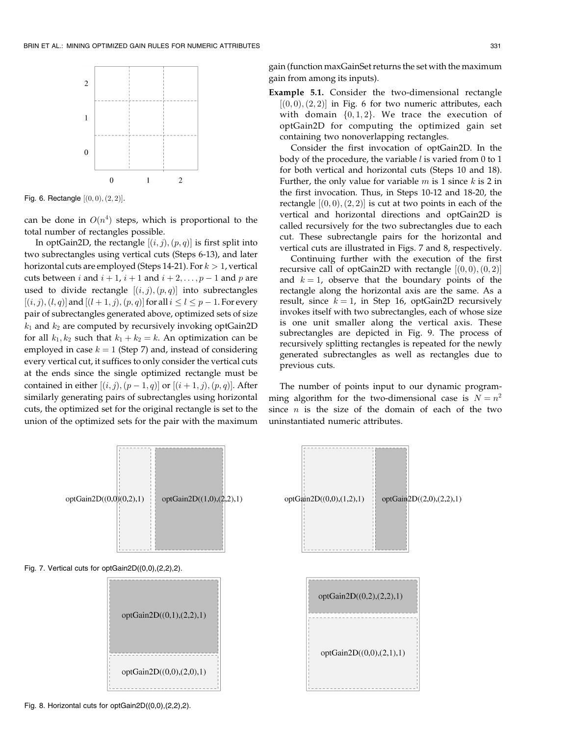

Fig. 6. Rectangle  $[(0,0), (2, 2)].$ 

can be done in  $O(n^4)$  steps, which is proportional to the total number of rectangles possible.

In optGain2D, the rectangle  $[(i, j), (p, q)]$  is first split into two subrectangles using vertical cuts (Steps 6-13), and later horizontal cuts are employed (Steps 14-21). For  $k > 1$ , vertical cuts between *i* and  $i + 1$ ,  $i + 1$  and  $i + 2, \ldots, p - 1$  and p are used to divide rectangle  $[(i, j), (p, q)]$  into subrectangles  $[(i, j), (l, q)]$  and  $[(l + 1, j), (p, q)]$  for all  $i \le l \le p - 1$ . For every pair of subrectangles generated above, optimized sets of size  $k_1$  and  $k_2$  are computed by recursively invoking optGain2D for all  $k_1, k_2$  such that  $k_1 + k_2 = k$ . An optimization can be employed in case  $k = 1$  (Step 7) and, instead of considering every vertical cut, it suffices to only consider the vertical cuts at the ends since the single optimized rectangle must be contained in either  $[(i, j), (p - 1, q)]$  or  $[(i + 1, j), (p, q)]$ . After similarly generating pairs of subrectangles using horizontal cuts, the optimized set for the original rectangle is set to the union of the optimized sets for the pair with the maximum

gain (function maxGainSet returns the set with the maximum gain from among its inputs).

Example 5.1. Consider the two-dimensional rectangle  $[(0,0), (2,2)]$  in Fig. 6 for two numeric attributes, each with domain  $\{0,1,2\}$ . We trace the execution of optGain2D for computing the optimized gain set containing two nonoverlapping rectangles.

Consider the first invocation of optGain2D. In the body of the procedure, the variable  $l$  is varied from 0 to 1 for both vertical and horizontal cuts (Steps 10 and 18). Further, the only value for variable  $m$  is 1 since  $k$  is 2 in the first invocation. Thus, in Steps 10-12 and 18-20, the rectangle  $[(0,0), (2,2)]$  is cut at two points in each of the vertical and horizontal directions and optGain2D is called recursively for the two subrectangles due to each cut. These subrectangle pairs for the horizontal and vertical cuts are illustrated in Figs. 7 and 8, respectively.

Continuing further with the execution of the first recursive call of optGain2D with rectangle  $[(0,0),(0,2)]$ and  $k = 1$ , observe that the boundary points of the rectangle along the horizontal axis are the same. As a result, since  $k = 1$ , in Step 16, optGain2D recursively invokes itself with two subrectangles, each of whose size is one unit smaller along the vertical axis. These subrectangles are depicted in Fig. 9. The process of recursively splitting rectangles is repeated for the newly generated subrectangles as well as rectangles due to previous cuts.

The number of points input to our dynamic programming algorithm for the two-dimensional case is  $N = n^2$ since  $n$  is the size of the domain of each of the two uninstantiated numeric attributes.



Fig. 8. Horizontal cuts for optGain2D((0,0),(2,2),2).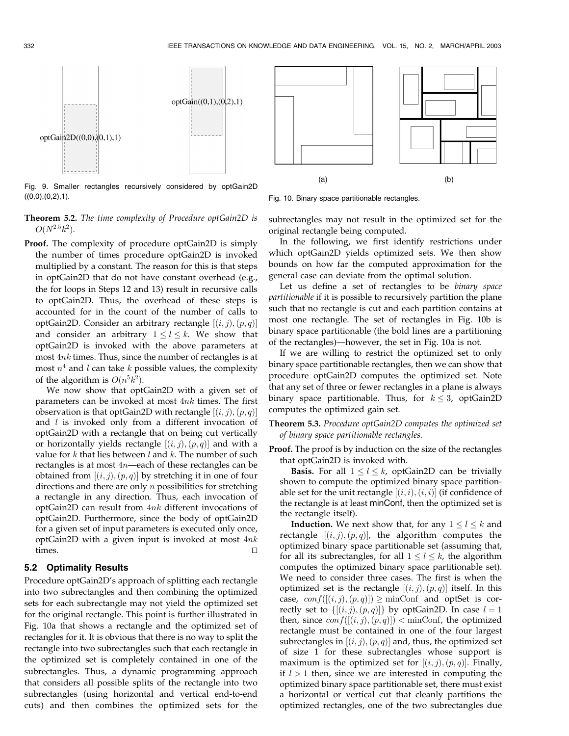

Fig. 9. Smaller rectangles recursively considered by optGain2D ((0,0),(0,2),1). Fig. 10. Binary space partitionable rectangles.

## Theorem 5.2. The time complexity of Procedure optGain2D is  $O(N^{2.5}k^2)$ .

Proof. The complexity of procedure optGain2D is simply the number of times procedure optGain2D is invoked multiplied by a constant. The reason for this is that steps in optGain2D that do not have constant overhead (e.g., the for loops in Steps 12 and 13) result in recursive calls to optGain2D. Thus, the overhead of these steps is accounted for in the count of the number of calls to optGain2D. Consider an arbitrary rectangle  $[(i, j), (p, q)]$ and consider an arbitrary  $1 \leq l \leq k$ . We show that optGain2D is invoked with the above parameters at most 4nk times. Thus, since the number of rectangles is at most  $n<sup>4</sup>$  and l can take k possible values, the complexity of the algorithm is  $O(n^5k^2)$ .

We now show that optGain2D with a given set of parameters can be invoked at most 4nk times. The first observation is that optGain2D with rectangle  $[(i, j), (p, q)]$ and  $l$  is invoked only from a different invocation of optGain2D with a rectangle that on being cut vertically or horizontally yields rectangle  $[(i, j), (p, q)]$  and with a value for  $k$  that lies between  $l$  and  $k$ . The number of such rectangles is at most 4n—each of these rectangles can be obtained from  $[(i, j), (p, q)]$  by stretching it in one of four directions and there are only  $n$  possibilities for stretching a rectangle in any direction. Thus, each invocation of optGain2D can result from 4nk different invocations of optGain2D. Furthermore, since the body of optGain2D for a given set of input parameters is executed only once, optGain2D with a given input is invoked at most  $4nk$  $t$  times.

#### 5.2 Optimality Results

Procedure optGain2D's approach of splitting each rectangle into two subrectangles and then combining the optimized sets for each subrectangle may not yield the optimized set for the original rectangle. This point is further illustrated in Fig. 10a that shows a rectangle and the optimized set of rectangles for it. It is obvious that there is no way to split the rectangle into two subrectangles such that each rectangle in the optimized set is completely contained in one of the subrectangles. Thus, a dynamic programming approach that considers all possible splits of the rectangle into two subrectangles (using horizontal and vertical end-to-end cuts) and then combines the optimized sets for the



subrectangles may not result in the optimized set for the original rectangle being computed.

In the following, we first identify restrictions under which optGain2D yields optimized sets. We then show bounds on how far the computed approximation for the general case can deviate from the optimal solution.

Let us define a set of rectangles to be binary space partitionable if it is possible to recursively partition the plane such that no rectangle is cut and each partition contains at most one rectangle. The set of rectangles in Fig. 10b is binary space partitionable (the bold lines are a partitioning of the rectangles)—however, the set in Fig. 10a is not.

If we are willing to restrict the optimized set to only binary space partitionable rectangles, then we can show that procedure optGain2D computes the optimized set. Note that any set of three or fewer rectangles in a plane is always binary space partitionable. Thus, for  $k \leq 3$ , optGain2D computes the optimized gain set.

## Theorem 5.3. Procedure optGain2D computes the optimized set of binary space partitionable rectangles.

Proof. The proof is by induction on the size of the rectangles that optGain2D is invoked with.

**Basis.** For all  $1 \leq l \leq k$ , optGain2D can be trivially shown to compute the optimized binary space partitionable set for the unit rectangle  $[(i, i), (i, i)]$  (if confidence of the rectangle is at least minConf, then the optimized set is the rectangle itself).

**Induction.** We next show that, for any  $1 \leq l \leq k$  and rectangle  $[(i, j), (p, q)]$ , the algorithm computes the optimized binary space partitionable set (assuming that, for all its subrectangles, for all  $1 \le l \le k$ , the algorithm computes the optimized binary space partitionable set). We need to consider three cases. The first is when the optimized set is the rectangle  $[(i, j), (p, q)]$  itself. In this case,  $conf([(i, j), (p, q)]) \geq minConf$  and optSet is correctly set to  $\{[(i, j), (p, q)]\}$  by optGain2D. In case  $l = 1$ then, since  $conf([(i, j), (p, q)]) < minConf$ , the optimized rectangle must be contained in one of the four largest subrectangles in  $[(i, j), (p, q)]$  and, thus, the optimized set of size 1 for these subrectangles whose support is maximum is the optimized set for  $[(i, j), (p, q)]$ . Finally, if  $l > 1$  then, since we are interested in computing the optimized binary space partitionable set, there must exist a horizontal or vertical cut that cleanly partitions the optimized rectangles, one of the two subrectangles due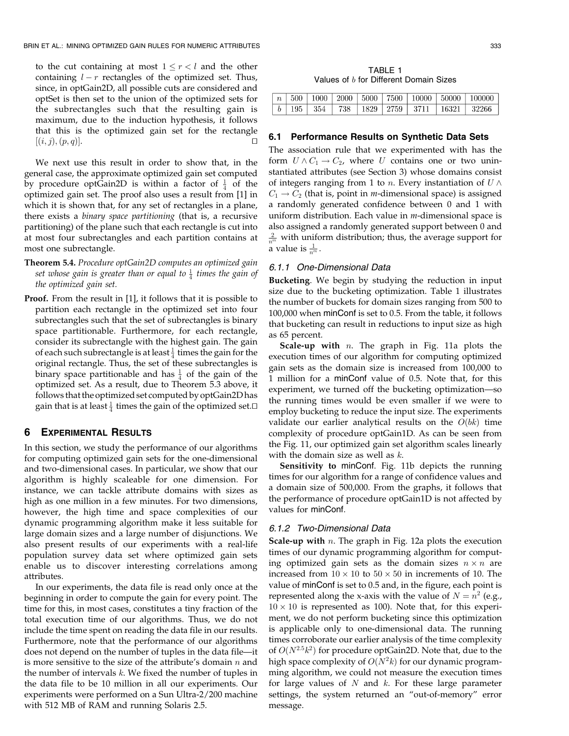to the cut containing at most  $1 \leq r < l$  and the other containing  $l - r$  rectangles of the optimized set. Thus, since, in optGain2D, all possible cuts are considered and optSet is then set to the union of the optimized sets for the subrectangles such that the resulting gain is maximum, due to the induction hypothesis, it follows that this is the optimized gain set for the rectangle  $[(i, j), (p, q)].$ 

We next use this result in order to show that, in the general case, the approximate optimized gain set computed by procedure optGain2D is within a factor of  $\frac{1}{4}$  of the optimized gain set. The proof also uses a result from [1] in which it is shown that, for any set of rectangles in a plane, there exists a binary space partitioning (that is, a recursive partitioning) of the plane such that each rectangle is cut into at most four subrectangles and each partition contains at most one subrectangle.

- Theorem 5.4. Procedure optGain2D computes an optimized gain set whose gain is greater than or equal to  $\frac{1}{4}$  times the gain of the optimized gain set.
- Proof. From the result in [1], it follows that it is possible to partition each rectangle in the optimized set into four subrectangles such that the set of subrectangles is binary space partitionable. Furthermore, for each rectangle, consider its subrectangle with the highest gain. The gain of each such subrectangle is at least  $\frac{1}{4}$  times the gain for the original rectangle. Thus, the set of these subrectangles is binary space partitionable and has  $\frac{1}{4}$  of the gain of the optimized set. As a result, due to Theorem 5.3 above, it follows that the optimized set computed by optGain2D has gain that is at least  $\frac{1}{4}$  times the gain of the optimized set. $\Box$

#### 6 EXPERIMENTAL RESULTS

In this section, we study the performance of our algorithms for computing optimized gain sets for the one-dimensional and two-dimensional cases. In particular, we show that our algorithm is highly scaleable for one dimension. For instance, we can tackle attribute domains with sizes as high as one million in a few minutes. For two dimensions, however, the high time and space complexities of our dynamic programming algorithm make it less suitable for large domain sizes and a large number of disjunctions. We also present results of our experiments with a real-life population survey data set where optimized gain sets enable us to discover interesting correlations among attributes.

In our experiments, the data file is read only once at the beginning in order to compute the gain for every point. The time for this, in most cases, constitutes a tiny fraction of the total execution time of our algorithms. Thus, we do not include the time spent on reading the data file in our results. Furthermore, note that the performance of our algorithms does not depend on the number of tuples in the data file—it is more sensitive to the size of the attribute's domain  $n$  and the number of intervals  $k$ . We fixed the number of tuples in the data file to be 10 million in all our experiments. Our experiments were performed on a Sun Ultra-2/200 machine with 512 MB of RAM and running Solaris 2.5.

TABLE 1 Values of b for Different Domain Sizes

|  |  |  |  | $\mid n \mid 500 \mid 1000 \mid 2000 \mid 5000 \mid 7500 \mid 10000 \mid 50000 \mid 100000 \mid$ |
|--|--|--|--|--------------------------------------------------------------------------------------------------|
|  |  |  |  |                                                                                                  |

#### 6.1 Performance Results on Synthetic Data Sets

The association rule that we experimented with has the form  $U \wedge C_1 \rightarrow C_2$ , where U contains one or two uninstantiated attributes (see Section 3) whose domains consist of integers ranging from 1 to *n*. Every instantiation of  $U \wedge$  $C_1 \rightarrow C_2$  (that is, point in *m*-dimensional space) is assigned a randomly generated confidence between 0 and 1 with uniform distribution. Each value in m-dimensional space is also assigned a randomly generated support between 0 and  $\frac{2}{n^m}$  with uniform distribution; thus, the average support for a value is  $\frac{1}{n^m}$ .

#### 6.1.1 One-Dimensional Data

Bucketing. We begin by studying the reduction in input size due to the bucketing optimization. Table 1 illustrates the number of buckets for domain sizes ranging from 500 to 100,000 when minConf is set to 0.5. From the table, it follows that bucketing can result in reductions to input size as high as 65 percent.

Scale-up with  $n$ . The graph in Fig. 11a plots the execution times of our algorithm for computing optimized gain sets as the domain size is increased from 100,000 to 1 million for a minConf value of 0.5. Note that, for this experiment, we turned off the bucketing optimization—so the running times would be even smaller if we were to employ bucketing to reduce the input size. The experiments validate our earlier analytical results on the  $O(bk)$  time complexity of procedure optGain1D. As can be seen from the Fig. 11, our optimized gain set algorithm scales linearly with the domain size as well as  $k$ .

Sensitivity to minConf. Fig. 11b depicts the running times for our algorithm for a range of confidence values and a domain size of 500,000. From the graphs, it follows that the performance of procedure optGain1D is not affected by values for minConf.

## 6.1.2 Two-Dimensional Data

**Scale-up with**  $n$ . The graph in Fig. 12a plots the execution times of our dynamic programming algorithm for computing optimized gain sets as the domain sizes  $n \times n$  are increased from  $10 \times 10$  to  $50 \times 50$  in increments of 10. The value of minConf is set to 0.5 and, in the figure, each point is represented along the x-axis with the value of  $N = n^2$  (e.g.,  $10 \times 10$  is represented as 100). Note that, for this experiment, we do not perform bucketing since this optimization is applicable only to one-dimensional data. The running times corroborate our earlier analysis of the time complexity of  $O(N^{2.5}k^2)$  for procedure optGain2D. Note that, due to the high space complexity of  $O(N^2k)$  for our dynamic programming algorithm, we could not measure the execution times for large values of  $N$  and  $k$ . For these large parameter settings, the system returned an "out-of-memory" error message.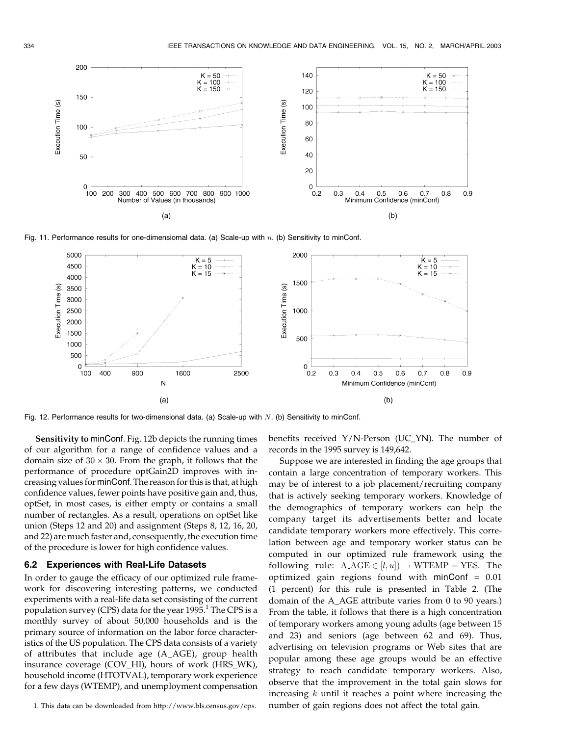

Fig. 11. Performance results for one-dimensiomal data. (a) Scale-up with  $n$ . (b) Sensitivity to minConf.



Fig. 12. Performance results for two-dimensional data. (a) Scale-up with N. (b) Sensitivity to minConf.

Sensitivity to minConf. Fig. 12b depicts the running times of our algorithm for a range of confidence values and a domain size of  $30 \times 30$ . From the graph, it follows that the performance of procedure optGain2D improves with increasing values for minConf. The reason for this is that, at high confidence values, fewer points have positive gain and, thus, optSet, in most cases, is either empty or contains a small number of rectangles. As a result, operations on optSet like union (Steps 12 and 20) and assignment (Steps 8, 12, 16, 20, and 22) are much faster and, consequently, the execution time of the procedure is lower for high confidence values.

## 6.2 Experiences with Real-Life Datasets

In order to gauge the efficacy of our optimized rule framework for discovering interesting patterns, we conducted experiments with a real-life data set consisting of the current population survey (CPS) data for the year  $1995<sup>1</sup>$  The CPS is a monthly survey of about 50,000 households and is the primary source of information on the labor force characteristics of the US population. The CPS data consists of a variety of attributes that include age (A\_AGE), group health insurance coverage (COV\_HI), hours of work (HRS\_WK), household income (HTOTVAL), temporary work experience for a few days (WTEMP), and unemployment compensation

1. This data can be downloaded from http://www.bls.census.gov/cps.

benefits received Y/N-Person (UC\_YN). The number of records in the 1995 survey is 149,642.

Suppose we are interested in finding the age groups that contain a large concentration of temporary workers. This may be of interest to a job placement/recruiting company that is actively seeking temporary workers. Knowledge of the demographics of temporary workers can help the company target its advertisements better and locate candidate temporary workers more effectively. This correlation between age and temporary worker status can be computed in our optimized rule framework using the following rule:  $A \cdot AGE \in [l, u]) \rightarrow WTEMP = YES$ . The optimized gain regions found with minConf = 0.01 (1 percent) for this rule is presented in Table 2. (The domain of the A\_AGE attribute varies from 0 to 90 years.) From the table, it follows that there is a high concentration of temporary workers among young adults (age between 15 and 23) and seniors (age between 62 and 69). Thus, advertising on television programs or Web sites that are popular among these age groups would be an effective strategy to reach candidate temporary workers. Also, observe that the improvement in the total gain slows for increasing  $k$  until it reaches a point where increasing the number of gain regions does not affect the total gain.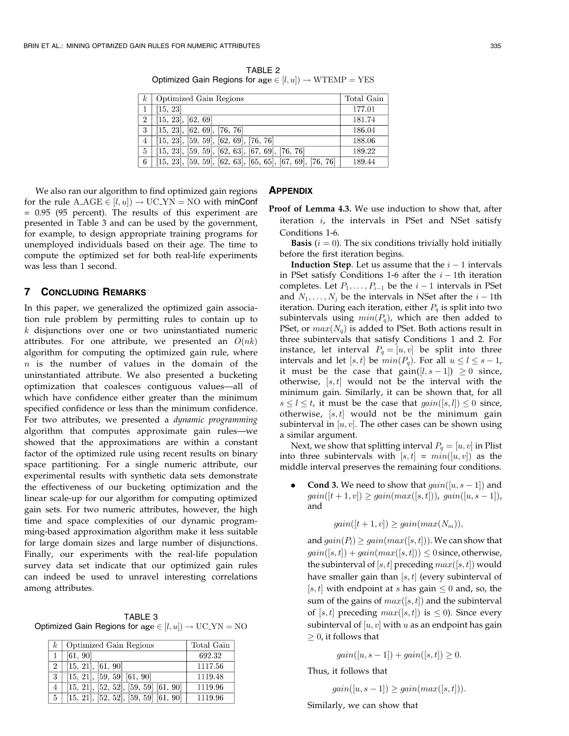TABLE 2 Optimized Gain Regions for  $age \in [l, u]) \rightarrow WTEMP = YES$ 

| k.             | Optimized Gain Regions                                        | Total Gain |
|----------------|---------------------------------------------------------------|------------|
| $\mathbf{1}$   | [15, 23]                                                      | 177.01     |
| $\overline{2}$ | [15, 23], [62, 69]                                            | 181.74     |
| $\mathcal{S}$  | [15, 23], [62, 69], [76, 76]                                  | 186.04     |
| $\overline{4}$ | $\overline{[15, 23]}, [59, 59], [62, 69], [76, 76]$           | 188.06     |
| 5              | $[15, 23], [59, 59], [62, 63], [67, 69], [76, 76]$            | 189.22     |
| 6              | $[15, 23]$ , [59, 59], [62, 63], [65, 65], [67, 69], [76, 76] | 189.44     |

We also ran our algorithm to find optimized gain regions for the rule  $A \triangle AGE \in [l, u]) \rightarrow UC \triangle YN = NO$  with minConf = 0.95 (95 percent). The results of this experiment are presented in Table 3 and can be used by the government, for example, to design appropriate training programs for unemployed individuals based on their age. The time to compute the optimized set for both real-life experiments was less than 1 second.

## 7 CONCLUDING REMARKS

In this paper, we generalized the optimized gain association rule problem by permitting rules to contain up to  $k$  disjunctions over one or two uninstantiated numeric attributes. For one attribute, we presented an  $O(nk)$ algorithm for computing the optimized gain rule, where  $n$  is the number of values in the domain of the uninstantiated attribute. We also presented a bucketing optimization that coalesces contiguous values—all of which have confidence either greater than the minimum specified confidence or less than the minimum confidence. For two attributes, we presented a dynamic programming algorithm that computes approximate gain rules—we showed that the approximations are within a constant factor of the optimized rule using recent results on binary space partitioning. For a single numeric attribute, our experimental results with synthetic data sets demonstrate the effectiveness of our bucketing optimization and the linear scale-up for our algorithm for computing optimized gain sets. For two numeric attributes, however, the high time and space complexities of our dynamic programming-based approximation algorithm make it less suitable for large domain sizes and large number of disjunctions. Finally, our experiments with the real-life population survey data set indicate that our optimized gain rules can indeed be used to unravel interesting correlations among attributes.

TABLE 3 Optimized Gain Regions for  $age \in [l, u]) \rightarrow UC_YN = NO$ 

| $\boldsymbol{k}$ | <b>Optimized Gain Regions</b>              | Total Gain |
|------------------|--------------------------------------------|------------|
|                  | [61, 90]                                   | 692.32     |
| $2^{\circ}$      | [15, 21], [61, 90]                         | 1117.56    |
| $3 -$            | $\overline{[15, 21]}, [59, 59]$ $[61, 90]$ | 1119.48    |
| 4                | [15, 21], [52, 52], [59, 59] [61, 90]      | 1119.96    |
| 5 <sup>1</sup>   | [15, 21], [52, 52], [59, 59] [61, 90]      | 1119.96    |

#### **APPENDIX**

Proof of Lemma 4.3. We use induction to show that, after iteration  $i$ , the intervals in PSet and NSet satisfy Conditions 1-6.

**Basis** ( $i = 0$ ). The six conditions trivially hold initially before the first iteration begins.

**Induction Step**. Let us assume that the  $i - 1$  intervals in PSet satisfy Conditions 1-6 after the  $i - 1$ th iteration completes. Let  $P_1, \ldots, P_{i-1}$  be the  $i-1$  intervals in PSet and  $N_1, \ldots, N_j$  be the intervals in NSet after the  $i - 1$ th iteration. During each iteration, either  $P_q$  is split into two subintervals using  $min(P_q)$ , which are then added to PSet, or  $max(N_q)$  is added to PSet. Both actions result in three subintervals that satisfy Conditions 1 and 2. For instance, let interval  $P_q = [u, v]$  be split into three intervals and let [s, t] be  $min(P_q)$ . For all  $u \le l \le s - 1$ , it must be the case that gain( $[l, s - 1]$ )  $\geq 0$  since, otherwise,  $[s, t]$  would not be the interval with the minimum gain. Similarly, it can be shown that, for all  $s \le l \le t$ , it must be the case that  $gain([s, l]) \le 0$  since, otherwise,  $[s, t]$  would not be the minimum gain subinterval in  $[u, v]$ . The other cases can be shown using a similar argument.

Next, we show that splitting interval  $P_q = [u, v]$  in Plist into three subintervals with  $[s, t] = min([u, v])$  as the middle interval preserves the remaining four conditions.

**Cond 3.** We need to show that  $gain([u, s - 1])$  and  $gain([t+1, v]) \geq gain(max([s, t]))$ ,  $gain([u, s-1])$ , and

 $gain([t+1, v]) \geq gain(max(N_m)),$ 

and  $gain(P_l) \geq gain(max([s, t]))$ . We can show that  $gain([s,t]) + gain(max([s,t])) \leq 0$  since, otherwise, the subinterval of  $[s, t]$  preceding  $max([s, t])$  would have smaller gain than  $[s, t]$  (every subinterval of [s, t] with endpoint at s has gain  $\leq 0$  and, so, the sum of the gains of  $max([s, t])$  and the subinterval of  $[s, t]$  preceding  $max([s, t])$  is  $\leq 0$ ). Since every subinterval of  $[u, v]$  with u as an endpoint has gain  $\geq$  0, it follows that

$$
gain([u,s-1]) + gain([s,t]) \ge 0.
$$

Thus, it follows that

$$
gain([u,s-1]) \geq gain(max([s,t])).
$$

Similarly, we can show that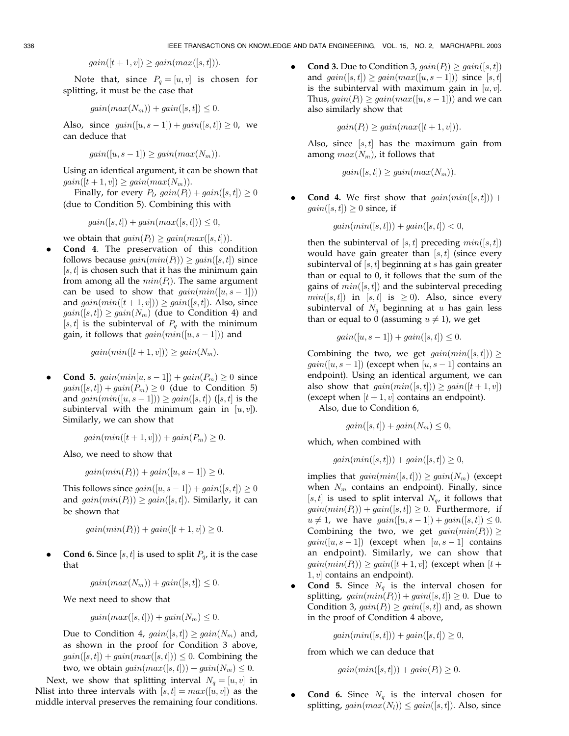$gain([t+1, v]) \geq gain(max([s, t])).$ 

Note that, since  $P_q = [u, v]$  is chosen for splitting, it must be the case that

$$
gain(max(N_m)) + gain([s,t]) \leq 0.
$$

Also, since  $gain([u, s-1]) + gain([s, t]) \geq 0$ , we can deduce that

$$
gain([u,s-1]) \geq gain(max(N_m)).
$$

Using an identical argument, it can be shown that  $gain([t+1, v]) \geq gain(max(N_m)).$ 

Finally, for every  $P_l$ ,  $gain(P_l) + gain([s, t]) \geq 0$ (due to Condition 5). Combining this with

$$
gain([s,t]) + gain(max([s,t])) \leq 0,
$$

we obtain that  $gain(P_l) \geq gain(max([s, t]))$ .

. Cond 4. The preservation of this condition follows because  $gain(min(P_l)) \geq gain([s, t])$  since  $[s, t]$  is chosen such that it has the minimum gain from among all the  $min(P_l)$ . The same argument can be used to show that  $gain(min([u, s - 1]))$ and  $gain(min([t + 1, v])) \geq gain([s, t])$ . Also, since  $gain([s,t]) \geq gain(N_m)$  (due to Condition 4) and [s, t] is the subinterval of  $P_q$  with the minimum gain, it follows that  $gain(min([u, s - 1]))$  and

$$
gain(min([t+1,v])) \geq gain(N_m).
$$

**Cond 5.**  $gain(min[u, s-1]) + gain(P_m) \ge 0$  since  $gain([s,t]) + gain(P_m) \geq 0$  (due to Condition 5) and  $gain(min([u, s - 1])) \geq gain([s, t])$  ([s, t] is the subinterval with the minimum gain in  $[u, v]$ ). Similarly, we can show that

$$
gain(min([t+1,v]))+gain(P_m)\geq 0.
$$

Also, we need to show that

 $gain(min(P_l)) + gain([u, s - 1]) > 0.$ 

This follows since  $gain([u, s - 1]) + gain([s, t]) \geq 0$ and  $gain(min(P_l)) \geq gain([s, t])$ . Similarly, it can be shown that

$$
gain(min(P_l)) + gain([t+1, v]) \ge 0.
$$

**Cond 6.** Since  $[s, t]$  is used to split  $P_q$ , it is the case that

$$
gain(max(N_m)) + gain([s,t]) \leq 0.
$$

We next need to show that

$$
gain(max([s,t])) + gain(N_m) \leq 0.
$$

Due to Condition 4,  $gain([s,t]) \geq gain(N_m)$  and, as shown in the proof for Condition 3 above,  $gain([s,t]) + gain(max([s,t])) \leq 0$ . Combining the two, we obtain  $gain(max([s,t])) + gain(N_m) \leq 0$ .

Next, we show that splitting interval  $N_q = [u, v]$  in Nlist into three intervals with  $[s, t] = max([u, v])$  as the middle interval preserves the remaining four conditions.

**Cond 3.** Due to Condition 3,  $gain(P_l) \geq gain([s, t])$ and  $gain([s,t]) \geq gain(max([u,s-1]))$  since  $[s,t]$ is the subinterval with maximum gain in  $[u, v]$ . Thus,  $gain(P_l) \geq gain(max([u, s - 1]))$  and we can also similarly show that

 $gain(P_l) \geq gain(max([t + 1, v]))$ .

Also, since  $[s, t]$  has the maximum gain from among  $max(N_m)$ , it follows that

 $gain([s,t]) \geq gain(max(N_m)).$ 

**Cond 4.** We first show that  $gain(min([s,t])) +$  $gain([s,t]) \geq 0$  since, if

$$
gain(min([s,t])) + gain([s,t]) < 0,
$$

then the subinterval of  $[s, t]$  preceding  $min([s, t])$ would have gain greater than  $[s, t]$  (since every subinterval of  $[s, t]$  beginning at s has gain greater than or equal to 0, it follows that the sum of the gains of  $min([s, t])$  and the subinterval preceding  $min([s, t])$  in  $[s, t]$  is  $\geq 0$ ). Also, since every subinterval of  $N_q$  beginning at u has gain less than or equal to 0 (assuming  $u \neq 1$ ), we get

$$
gain([u,s-1]) + gain([s,t]) \le 0.
$$

Combining the two, we get  $gain(min([s,t])) \geq$  $gain([u, s - 1])$  (except when  $[u, s - 1]$  contains an endpoint). Using an identical argument, we can also show that  $gain(min([s,t])) \geq gain([t+1, v])$ (except when  $[t + 1, v]$  contains an endpoint).

Also, due to Condition 6,

$$
gain([s,t]) + gain(N_m) \le 0,
$$

which, when combined with

 $gain(min([s,t]))+gain([s,t])\geq 0,$ 

implies that  $gain(min([s,t])) \geq gain(N_m)$  (except when  $N_m$  contains an endpoint). Finally, since [s, t] is used to split interval  $N_q$ , it follows that  $gain(min(P_l)) + gain([s, t]) \geq 0$ . Furthermore, if  $u \neq 1$ , we have  $gain([u, s - 1]) + gain([s, t]) \leq 0$ . Combining the two, we get  $gain(min(P_l)) \geq$  $gain([u, s - 1])$  (except when  $[u, s - 1]$  contains an endpoint). Similarly, we can show that  $gain(min(P_l)) \geq gain([t+1, v])$  (except when  $[t+$  $1, v$  contains an endpoint).

**Cond 5.** Since  $N_q$  is the interval chosen for splitting,  $gain(min(P_l)) + gain([s, t]) \geq 0$ . Due to Condition 3,  $gain(P_l) \geq gain([s, t])$  and, as shown in the proof of Condition 4 above,

 $gain(min([s, t])) + gain([s, t]) > 0,$ 

from which we can deduce that

 $gain(min([s,t])) + gain(P_l) \geq 0.$ 

**Cond 6.** Since  $N_q$  is the interval chosen for splitting,  $gain(max(N_l)) \leq gain([s, t])$ . Also, since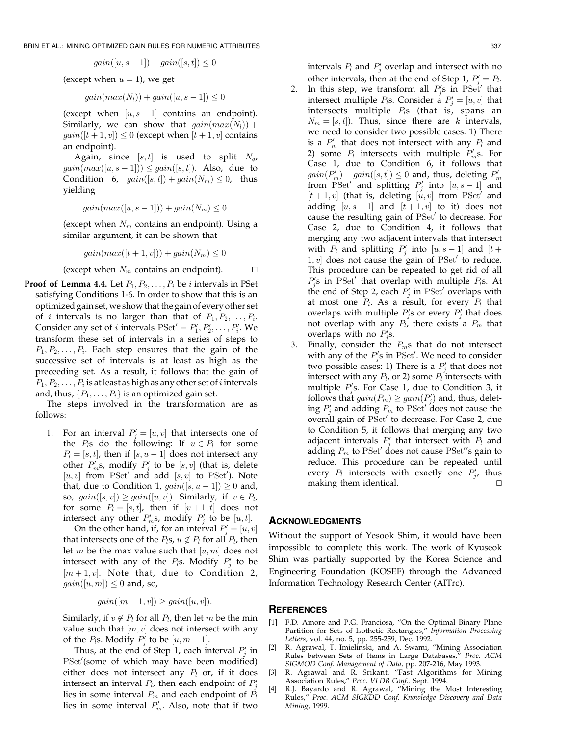$$
gain([u,s-1]) + gain([s,t]) \le 0
$$

(except when  $u = 1$ ), we get

$$
gain(max(N_l)) + gain([u, s-1]) \le 0
$$

(except when  $[u, s - 1]$  contains an endpoint). Similarly, we can show that  $gain(max(N_l))$  +  $gain([t + 1, v]) \leq 0$  (except when  $[t + 1, v]$  contains an endpoint).

Again, since [s, t] is used to split  $N_q$ ,  $gain(max([u, s-1])) \leq gain([s, t])$ . Also, due to Condition 6,  $gain([s,t]) + gain(N_m) \leq 0$ , thus yielding

$$
gain(max([u,s-1]))+gain(N_m)\leq 0
$$

(except when  $N_m$  contains an endpoint). Using a similar argument, it can be shown that

 $gain(max([t + 1, v])) + gain(N_m) \leq 0$ 

(except when  $N_m$  contains an endpoint).  $\Box$ 

**Proof of Lemma 4.4.** Let  $P_1, P_2, \ldots, P_i$  be *i* intervals in PSet satisfying Conditions 1-6. In order to show that this is an optimized gain set, we show that the gain of every other set of *i* intervals is no larger than that of  $P_1, P_2, \ldots, P_i$ . Consider any set of *i* intervals  $PSet' = P'_1, P'_2, \ldots, P'_i$ . We transform these set of intervals in a series of steps to  $P_1, P_2, \ldots, P_i$ . Each step ensures that the gain of the successive set of intervals is at least as high as the preceeding set. As a result, it follows that the gain of  $P_1, P_2, \ldots, P_i$  is at least as high as any other set of i intervals and, thus,  $\{P_1, \ldots, P_i\}$  is an optimized gain set.

The steps involved in the transformation are as follows:

1. For an interval  $P'_j = [u, v]$  that intersects one of the  $P_l$ s do the following: If  $u \in P_l$  for some  $P_l = [s, t]$ , then if  $[s, u - 1]$  does not intersect any other  $P'_m$ s, modify  $P'_j$  to be [s, v] (that is, delete  $[u, v]$  from PSet' and add  $[s, v]$  to PSet'). Note that, due to Condition 1,  $gain([s, u - 1]) \geq 0$  and, so,  $gain([s, v]) \geq gain([u, v])$ . Similarly, if  $v \in P_l$ , for some  $P_l = [s, t]$ , then if  $[v+1, t]$  does not intersect any other  $P'_m$ s, modify  $P'_j$  to be  $[u, t]$ .

On the other hand, if, for an interval  $P'_j = [u, v]$ that intersects one of the  $P_l$ s,  $u \notin P_l$  for all  $P_l$ , then let *m* be the max value such that  $[u, m]$  does not intersect with any of the  $P_l$ s. Modify  $P'_j$  to be  $[m+1, v]$ . Note that, due to Condition 2,  $gain([u,m]) \leq 0$  and, so,

$$
gain([m+1,v]) \geq gain([u,v]).
$$

Similarly, if  $v \notin P_l$  for all  $P_l$ , then let m be the min value such that  $[m, v]$  does not intersect with any of the  $P_l$ s. Modify  $P'_j$  to be  $[u, m-1]$ .

Thus, at the end of Step 1, each interval  $P'_j$  in PSet'(some of which may have been modified) either does not intersect any  $P_l$  or, if it does intersect an interval  $P_l$ , then each endpoint of  $P'_j$ lies in some interval  $P_m$  and each endpoint of  $P_l$ lies in some interval  $P'_m$ . Also, note that if two

intervals  $P_l$  and  $P'_j$  overlap and intersect with no other intervals, then at the end of Step 1,  $P'_{j} = P_{l}$ .

- 2. In this step, we transform all  $P'_j$ s in PSet' that intersect multiple  $P_l$ s. Consider a  $P'_j = [u, v]$  that intersects multiple  $P_i$ s (that is, spans an  $N_m = [s, t]$ ). Thus, since there are k intervals, we need to consider two possible cases: 1) There is a  $P'_m$  that does not intersect with any  $P_l$  and 2) some  $P_l$  intersects with multiple  $P'_m$ s. For Case 1, due to Condition 6, it follows that  $gain(P'_m) + gain([s, t]) \leq 0$  and, thus, deleting  $P'_m$ from PSet' and splitting  $P'_j$  into  $[u, s-1]$  and  $[t + 1, v]$  (that is, deleting  $[u, v]$  from PSet' and adding  $[u, s - 1]$  and  $[t + 1, v]$  to it) does not cause the resulting gain of PSet' to decrease. For Case 2, due to Condition 4, it follows that merging any two adjacent intervals that intersect with  $P_l$  and splitting  $P'_j$  into  $[u, s-1]$  and  $[t+1]$  $1, v$ ] does not cause the gain of PSet' to reduce. This procedure can be repeated to get rid of all  $P'_j$ s in PSet' that overlap with multiple  $P_l$ s. At the end of Step 2, each  $\hat{P}'_j$  in PSet' overlaps with at most one  $P_l$ . As a result, for every  $P_l$  that overlaps with multiple  $P'_j$ s or every  $P'_j$  that does not overlap with any  $P_l$ , there exists a  $P_m$  that overlaps with no  $P'_j$ s.
- 3. Finally, consider the  $P_m$ s that do not intersect with any of the  $P'_j$ s in PSet'. We need to consider two possible cases: 1) There is a  $P'_j$  that does not intersect with any  $P_l$ , or 2) some  $P_l$  intersects with multiple  $P'_j$ s. For Case 1, due to Condition 3, it follows that  $gain(P_m) \geq gain(P'_j)$  and, thus, deleting  $P'_j$  and adding  $P_m$  to  $\mathrm{PSet}'$  does not cause the overall gain of PSet' to decrease. For Case 2, due to Condition 5, it follows that merging any two adjacent intervals  $P'_j$  that intersect with  $P_l$  and adding  $P_m$  to  $\mathrm{PSet}'$  does not cause  $\mathrm{PSet}'$ 's gain to reduce. This procedure can be repeated until every  $P_l$  intersects with exactly one  $P'_{j'}$  thus making them identical.

#### ACKNOWLEDGMENTS

Without the support of Yesook Shim, it would have been impossible to complete this work. The work of Kyuseok Shim was partially supported by the Korea Science and Engineering Foundation (KOSEF) through the Advanced Information Technology Research Center (AITrc).

#### **REFERENCES**

- [1] F.D. Amore and P.G. Franciosa, "On the Optimal Binary Plane Partition for Sets of Isothetic Rectangles," Information Processing Letters, vol. 44, no. 5, pp. 255-259, Dec. 1992.
- [2] R. Agrawal, T. Imielinski, and A. Swami, "Mining Association Rules between Sets of Items in Large Databases," Proc. ACM SIGMOD Conf. Management of Data, pp. 207-216, May 1993.
- [3] R. Agrawal and R. Srikant, "Fast Algorithms for Mining Association Rules," Proc. VLDB Conf., Sept. 1994.
- [4] R.J. Bayardo and R. Agrawal, "Mining the Most Interesting Rules," Proc. ACM SIGKDD Conf. Knowledge Discovery and Data Mining, 1999.